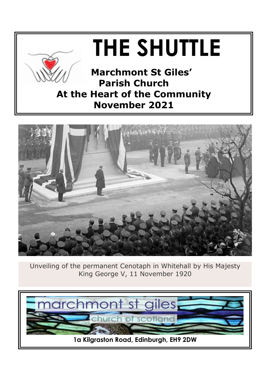



Unveiling of the permanent Cenotaph in Whitehall by His Majesty King George V, 11 November 1920

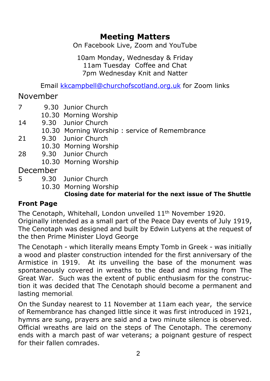## **Meeting Matters**

On Facebook Live, Zoom and YouTube

10am Monday, Wednesday & Friday 11am Tuesday Coffee and Chat 7pm Wednesday Knit and Natter

Email [kkcampbell@churchofscotland.org.uk](mailto:kkcampbell@churchofscotland.org.uk) for Zoom links

## November

- 7 9.30 Junior Church
	- 10.30 Morning Worship
- 14 9.30 Junior Church
	- 10.30 Morning Worship : service of Remembrance
- 21 9.30 Junior Church
	- 10.30 Morning Worship
- 28 9.30 Junior Church
	- 10.30 Morning Worship

## December

- 5 9.30 Junior Church
	- 10.30 Morning Worship

#### **Closing date for material for the next issue of The Shuttle**

## **Front Page**

The Cenotaph, Whitehall, London unveiled 11th November 1920. Originally intended as a small part of the Peace Day events of July 1919, The Cenotaph was designed and built by Edwin Lutyens at the request of the then Prime Minister Lloyd George

The Cenotaph - which literally means Empty Tomb in Greek - was initially a wood and plaster construction intended for the first anniversary of the Armistice in 1919. At its unveiling the base of the monument was spontaneously covered in wreaths to the dead and missing from The Great War. Such was the extent of public enthusiasm for the construction it was decided that The Cenotaph should become a permanent and lasting memorial.

On the Sunday nearest to 11 November at 11am each year, the service of Remembrance has changed little since it was first introduced in 1921, hymns are sung, prayers are said and a two minute silence is observed. Official wreaths are laid on the steps of The Cenotaph. The ceremony ends with a march past of war veterans; a poignant gesture of respect for their fallen comrades.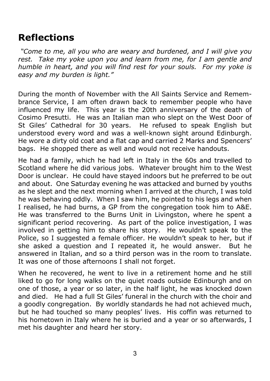# **Reflections**

 *"Come to me, all you who are weary and burdened, and I will give you rest. Take my yoke upon you and learn from me, for I am gentle and humble in heart, and you will find rest for your souls. For my yoke is easy and my burden is light."*

During the month of November with the All Saints Service and Remembrance Service, I am often drawn back to remember people who have influenced my life. This year is the 20th anniversary of the death of Cosimo Presutti. He was an Italian man who slept on the West Door of St Giles' Cathedral for 30 years. He refused to speak English but understood every word and was a well-known sight around Edinburgh. He wore a dirty old coat and a flat cap and carried 2 Marks and Spencers' bags. He shopped there as well and would not receive handouts.

He had a family, which he had left in Italy in the 60s and travelled to Scotland where he did various jobs. Whatever brought him to the West Door is unclear. He could have stayed indoors but he preferred to be out and about. One Saturday evening he was attacked and burned by youths as he slept and the next morning when I arrived at the church, I was told he was behaving oddly. When I saw him, he pointed to his legs and when I realised, he had burns, a GP from the congregation took him to A&E. He was transferred to the Burns Unit in Livingston, where he spent a significant period recovering. As part of the police investigation, I was involved in getting him to share his story. He wouldn't speak to the Police, so I suggested a female officer. He wouldn't speak to her, but if she asked a question and I repeated it, he would answer. But he answered in Italian, and so a third person was in the room to translate. It was one of those afternoons I shall not forget.

When he recovered, he went to live in a retirement home and he still liked to go for long walks on the quiet roads outside Edinburgh and on one of those, a year or so later, in the half light, he was knocked down and died. He had a full St Giles' funeral in the church with the choir and a goodly congregation. By worldly standards he had not achieved much. but he had touched so many peoples' lives. His coffin was returned to his hometown in Italy where he is buried and a year or so afterwards, I met his daughter and heard her story.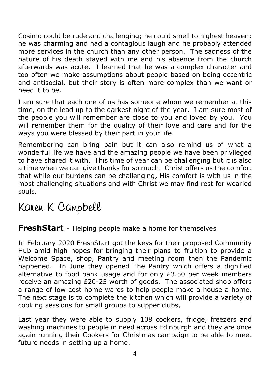Cosimo could be rude and challenging; he could smell to highest heaven; he was charming and had a contagious laugh and he probably attended more services in the church than any other person. The sadness of the nature of his death stayed with me and his absence from the church afterwards was acute. I learned that he was a complex character and too often we make assumptions about people based on being eccentric and antisocial, but their story is often more complex than we want or need it to be.

I am sure that each one of us has someone whom we remember at this time, on the lead up to the darkest night of the year. I am sure most of the people you will remember are close to you and loved by you. You will remember them for the quality of their love and care and for the ways you were blessed by their part in your life.

Remembering can bring pain but it can also remind us of what a wonderful life we have and the amazing people we have been privileged to have shared it with. This time of year can be challenging but it is also a time when we can give thanks for so much. Christ offers us the comfort that while our burdens can be challenging, His comfort is with us in the most challenging situations and with Christ we may find rest for wearied souls.

# Karen K Campbell

## **FreshStart** - Helping people make a home for themselves

In February 2020 FreshStart got the keys for their proposed Community Hub amid high hopes for bringing their plans to fruition to provide a Welcome Space, shop, Pantry and meeting room then the Pandemic happened. In June they opened The Pantry which offers a dignified alternative to food bank usage and for only £3.50 per week members receive an amazing £20-25 worth of goods. The associated shop offers a range of low cost home wares to help people make a house a home. The next stage is to complete the kitchen which will provide a variety of cooking sessions for small groups to supper clubs,

Last year they were able to supply 108 cookers, fridge, freezers and washing machines to people in need across Edinburgh and they are once again running their Cookers for Christmas campaign to be able to meet future needs in setting up a home.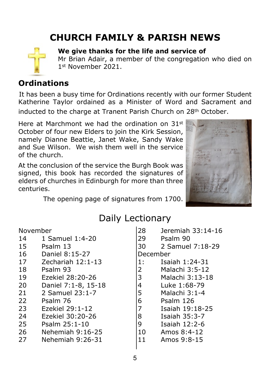# **CHURCH FAMILY & PARISH NEWS**



#### **We give thanks for the life and service of**

Mr Brian Adair, a member of the congregation who died on 1st November 2021.

#### **Ordinations**

It has been a busy time for Ordinations recently with our former Student Katherine Taylor ordained as a Minister of Word and Sacrament and

inducted to the charge at Tranent Parish Church on 28<sup>th</sup> October.

Here at Marchmont we had the ordination on 31<sup>st</sup> October of four new Elders to join the Kirk Session, namely Dianne Beattie, Janet Wake, Sandy Wake and Sue Wilson. We wish them well in the service of the church.

At the conclusion of the service the Burgh Book was signed, this book has recorded the signatures of elders of churches in Edinburgh for more than three centuries.



The opening page of signatures from 1700.

# Daily Lectionary

| November |                     | 28       | Jeremiah 33:14-16 |
|----------|---------------------|----------|-------------------|
| 14       | 1 Samuel 1:4-20     | 29       | Psalm 90          |
| 15       | Psalm 13            | 30       | 2 Samuel 7:18-29  |
| 16       | Daniel 8:15-27      | December |                   |
| 17       | Zechariah 12:1-13   | 1:       | Isaiah 1:24-31    |
| 18       | Psalm 93            | 2        | Malachi 3:5-12    |
| 19       | Ezekiel 28:20-26    | 3        | Malachi 3:13-18   |
| 20       | Daniel 7:1-8, 15-18 | 4        | Luke 1:68-79      |
| 21       | 2 Samuel 23:1-7     | 5        | Malachi 3:1-4     |
| 22       | Psalm 76            | 6        | Psalm 126         |
| 23       | Ezekiel 29:1-12     | 7        | Isaiah 19:18-25   |
| 24       | Ezekiel 30:20-26    | 8        | Isaiah 35:3-7     |
| 25       | Psalm 25:1-10       | 9        | Isaiah 12:2-6     |
| 26       | Nehemiah 9:16-25    | 10       | Amos 8:4-12       |
| 27       | Nehemiah 9:26-31    | 11       | Amos 9:8-15       |
|          |                     |          |                   |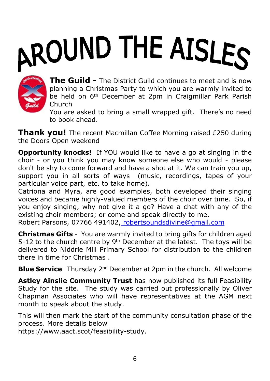# AROUND THE AISLES



**The Guild -** The District Guild continues to meet and is now planning a Christmas Party to which you are warmly invited to be held on 6th December at 2pm in Craigmillar Park Parish Church

You are asked to bring a small wrapped gift. There's no need to book ahead.

**Thank you!** The recent Macmillan Coffee Morning raised £250 during the Doors Open weekend

**Opportunity knocks!** If YOU would like to have a go at singing in the choir - or you think you may know someone else who would - please don't be shy to come forward and have a shot at it. We can train you up, support you in all sorts of ways (music, recordings, tapes of your particular voice part, etc. to take home).

Catriona and Myra, are good examples, both developed their singing voices and became highly-valued members of the choir over time. So, if you enjoy singing, why not give it a go? Have a chat with any of the existing choir members; or come and speak directly to me.

Robert Parsons, 07766 491402, [robertsoundsdivine@gmail.com](mailto:robertsoundsdivine@gmail.com)

**Christmas Gifts -** You are warmly invited to bring gifts for children aged 5-12 to the church centre by  $9<sup>th</sup>$  December at the latest. The toys will be delivered to Niddrie Mill Primary School for distribution to the children there in time for Christmas .

**Blue Service** Thursday 2nd December at 2pm in the church. All welcome

**Astley Ainslie Community Trust** has now published its full Feasibility Study for the site. The study was carried out professionally by Oliver Chapman Associates who will have representatives at the AGM next month to speak about the study.

This will then mark the start of the community consultation phase of the process. More details below

https://www.aact.scot/feasibility-study.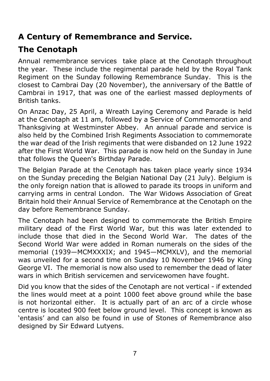# **A Century of Remembrance and Service.**

# **The Cenotaph**

Annual remembrance services take place at the Cenotaph throughout the year. These include the regimental parade held by the Royal Tank Regiment on the Sunday following Remembrance Sunday. This is the closest to Cambrai Day (20 November), the anniversary of the Battle of Cambrai in 1917, that was one of the earliest massed deployments of British tanks.

On Anzac Day, 25 April, a Wreath Laying Ceremony and Parade is held at the Cenotaph at 11 am, followed by a Service of Commemoration and Thanksgiving at Westminster Abbey. An annual parade and service is also held by the Combined Irish Regiments Association to commemorate the war dead of the Irish regiments that were disbanded on 12 June 1922 after the First World War. This parade is now held on the Sunday in June that follows the Queen's Birthday Parade.

The Belgian Parade at the Cenotaph has taken place yearly since 1934 on the Sunday preceding the Belgian National Day (21 July). Belgium is the only foreign nation that is allowed to parade its troops in uniform and carrying arms in central London. The War Widows Association of Great Britain hold their Annual Service of Remembrance at the Cenotaph on the day before Remembrance Sunday.

The Cenotaph had been designed to commemorate the British Empire military dead of the First World War, but this was later extended to include those that died in the Second World War. The dates of the Second World War were added in Roman numerals on the sides of the memorial (1939—MCMXXXIX; and 1945—MCMXLV), and the memorial was unveiled for a second time on Sunday 10 November 1946 by King George VI. The memorial is now also used to remember the dead of later wars in which British servicemen and servicewomen have fought.

Did you know that the sides of the Cenotaph are not vertical - if extended the lines would meet at a point 1000 feet above ground while the base is not horizontal either. It is actually part of an arc of a circle whose centre is located 900 feet below ground level. This concept is known as 'entasis' and can also be found in use of Stones of Remembrance also designed by Sir Edward Lutyens.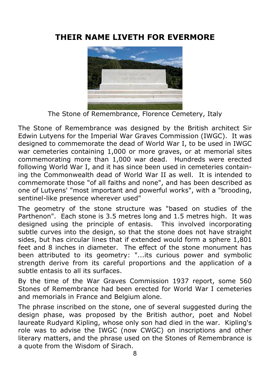# **THEIR NAME LIVETH FOR EVERMORE**



The Stone of Remembrance, Florence Cemetery, Italy

The Stone of Remembrance was designed by the British architect Sir Edwin Lutyens for the Imperial War Graves Commission (IWGC). It was designed to commemorate the dead of World War I, to be used in IWGC war cemeteries containing 1,000 or more graves, or at memorial sites commemorating more than 1,000 war dead. Hundreds were erected following World War I, and it has since been used in cemeteries containing the Commonwealth dead of World War II as well. It is intended to commemorate those "of all faiths and none", and has been described as one of Lutyens' "most important and powerful works", with a "brooding, sentinel-like presence wherever used"

The geometry of the stone structure was "based on studies of the Parthenon". Each stone is 3.5 metres long and 1.5 metres high. It was designed using the principle of entasis. This involved incorporating subtle curves into the design, so that the stone does not have straight sides, but has circular lines that if extended would form a sphere 1,801 feet and 8 inches in diameter. The effect of the stone monument has been attributed to its geometry: "...its curious power and symbolic strength derive from its careful proportions and the application of a subtle entasis to all its surfaces.

By the time of the War Graves Commission 1937 report, some 560 Stones of Remembrance had been erected for World War I cemeteries and memorials in France and Belgium alone.

The phrase inscribed on the stone, one of several suggested during the design phase, was proposed by the British author, poet and Nobel laureate Rudyard Kipling, whose only son had died in the war. Kipling's role was to advise the IWGC (now CWGC) on inscriptions and other literary matters, and the phrase used on the Stones of Remembrance is a quote from the Wisdom of Sirach.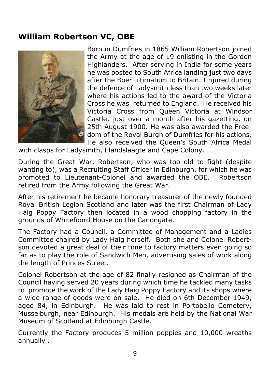## **William Robertson VC, OBE**



Born in Dumfries in 1865 William Robertson joined the Army at the age of 19 enlisting in the Gordon Highlanders. After serving in India for some years he was posted to South Africa landing just two days after the Boer ultimatum to Britain. I njured during the defence of Ladysmith less than two weeks later where his actions led to the award of the Victoria Cross he was returned to England. He received his Victoria Cross from Queen Victoria at Windsor Castle, just over a month after his gazetting, on 25th August 1900. He was also awarded the Freedom of the Royal Burgh of Dumfries for his actions. He also received the Queen's South Africa Medal

with clasps for Ladysmith, Elandslaagte and Cape Colony.

During the Great War, Robertson, who was too old to fight (despite wanting to), was a Recruiting Staff Officer in Edinburgh, for which he was promoted to Lieutenant-Colonel and awarded the OBE. Robertson retired from the Army following the Great War.

After his retirement he became honorary treasurer of the newly founded Royal British Legion Scotland and later was the first Chairman of Lady Haig Poppy Factory then located in a wood chopping factory in the grounds of Whitefoord House on the Canongate.

The Factory had a Council, a Committee of Management and a Ladies Committee chaired by Lady Haig herself. Both she and Colonel Robertson devoted a great deal of their time to factory matters even going so far as to play the role of Sandwich Men, advertising sales of work along the length of Princes Street.

Colonel Robertson at the age of 82 finally resigned as Chairman of the Council having served 20 years during which time he tackled many tasks to promote the work of the Lady Haig Poppy Factory and its shops where a wide range of goods were on sale. He died on 6th December 1949, aged 84, in Edinburgh. He was laid to rest in Portobello Cemetery, Musselburgh, near Edinburgh. His medals are held by the National War Museum of Scotland at Edinburgh Castle.

Currently the Factory produces 5 million poppies and 10,000 wreaths annually .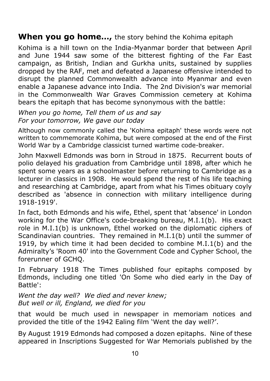#### **When you go home…,** the story behind the Kohima epitaph

Kohima is a hill town on the India-Myanmar border that between April and June 1944 saw some of the bitterest fighting of the Far East campaign, as British, Indian and Gurkha units, sustained by supplies dropped by the RAF, met and defeated a Japanese offensive intended to disrupt the planned Commonwealth advance into Myanmar and even enable a Japanese advance into India. The 2nd Division's war memorial in the Commonwealth War Graves Commission cemetery at Kohima bears the epitaph that has become synonymous with the battle:

*When you go home, Tell them of us and say For your tomorrow, We gave our today*

Although now commonly called the 'Kohima epitaph' these words were not written to commemorate Kohima, but were composed at the end of the First World War by a Cambridge classicist turned wartime code-breaker.

John Maxwell Edmonds was born in Stroud in 1875. Recurrent bouts of polio delayed his graduation from Cambridge until 1898, after which he spent some years as a schoolmaster before returning to Cambridge as a lecturer in classics in 1908. He would spend the rest of his life teaching and researching at Cambridge, apart from what his Times obituary coyly described as 'absence in connection with military intelligence during 1918-1919'.

In fact, both Edmonds and his wife, Ethel, spent that 'absence' in London working for the War Office's code-breaking bureau, M.I.1(b). His exact role in M.I.1(b) is unknown, Ethel worked on the diplomatic ciphers of Scandinavian countries. They remained in M.I.1(b) until the summer of 1919, by which time it had been decided to combine M.I.1(b) and the Admiralty's 'Room 40' into the Government Code and Cypher School, the forerunner of GCHQ.

In February 1918 The Times published four epitaphs composed by Edmonds, including one titled 'On Some who died early in the Day of Battle':

*Went the day well? We died and never knew; But well or ill, England, we died for you*

that would be much used in newspaper in memoriam notices and provided the title of the 1942 Ealing film 'Went the day well?'.

By August 1919 Edmonds had composed a dozen epitaphs. Nine of these appeared in Inscriptions Suggested for War Memorials published by the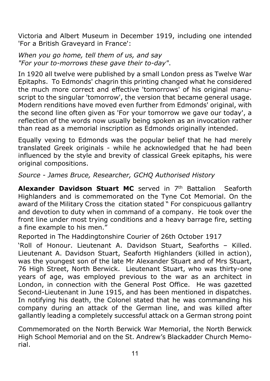Victoria and Albert Museum in December 1919, including one intended 'For a British Graveyard in France':

*When you go home, tell them of us, and say "For your to-morrows these gave their to-day"*.

In 1920 all twelve were published by a small London press as Twelve War Epitaphs. To Edmonds' chagrin this printing changed what he considered the much more correct and effective 'tomorrows' of his original manuscript to the singular 'tomorrow', the version that became general usage. Modern renditions have moved even further from Edmonds' original, with the second line often given as 'For your tomorrow we gave our today', a reflection of the words now usually being spoken as an invocation rather than read as a memorial inscription as Edmonds originally intended.

Equally vexing to Edmonds was the popular belief that he had merely translated Greek originals - while he acknowledged that he had been influenced by the style and brevity of classical Greek epitaphs, his were original compositions.

*Source - James Bruce, Researcher, GCHQ Authorised History*

**Alexander Davidson Stuart MC** served in 7<sup>th</sup> Battalion Seaforth Highlanders and is commemorated on the Tyne Cot Memorial. On the award of the Military Cross the citation stated " For conspicuous gallantry and devotion to duty when in command of a company. He took over the front line under most trying conditions and a heavy barrage fire, setting a fine example to his men."

Reported in The Haddingtonshire Courier of 26th October 1917

'Roll of Honour. Lieutenant A. Davidson Stuart, Seaforths – Killed. Lieutenant A. Davidson Stuart, Seaforth Highlanders (killed in action), was the youngest son of the late Mr Alexander Stuart and of Mrs Stuart, 76 High Street, North Berwick. Lieutenant Stuart, who was thirty-one years of age, was employed previous to the war as an architect in London, in connection with the General Post Office. He was gazetted Second-Lieutenant in June 1915, and has been mentioned in dispatches. In notifying his death, the Colonel stated that he was commanding his company during an attack of the German line, and was killed after gallantly leading a completely successful attack on a German strong point

Commemorated on the North Berwick War Memorial, the North Berwick High School Memorial and on the St. Andrew's Blackadder Church Memorial.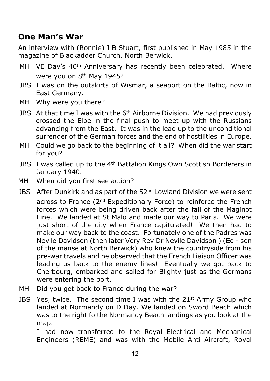# **One Man's War**

An interview with (Ronnie) J B Stuart, first published in May 1985 in the magazine of Blackadder Church, North Berwick.

- MH VE Day's 40<sup>th</sup> Anniversary has recently been celebrated. Where were you on 8<sup>th</sup> May 1945?
- JBS I was on the outskirts of Wismar, a seaport on the Baltic, now in East Germany.
- MH Why were you there?
- JBS At that time I was with the 6<sup>th</sup> Airborne Division. We had previously crossed the Elbe in the final push to meet up with the Russians advancing from the East. It was in the lead up to the unconditional surrender of the German forces and the end of hostilities in Europe.
- MH Could we go back to the beginning of it all? When did the war start for you?
- JBS I was called up to the 4th Battalion Kings Own Scottish Borderers in January 1940.
- MH When did you first see action?
- JBS After Dunkirk and as part of the 52<sup>nd</sup> Lowland Division we were sent across to France (2<sup>nd</sup> Expeditionary Force) to reinforce the French forces which were being driven back after the fall of the Maginot Line. We landed at St Malo and made our way to Paris. We were just short of the city when France capitulated! We then had to make our way back to the coast. Fortunately one of the Padres was Nevile Davidson (then later Very Rev Dr Nevile Davidson ) (Ed - son of the manse at North Berwick) who knew the countryside from his pre-war travels and he observed that the French Liaison Officer was leading us back to the enemy lines! Eventually we got back to Cherbourg, embarked and sailed for Blighty just as the Germans were entering the port.
- MH Did you get back to France during the war?
- JBS Yes, twice. The second time I was with the 21<sup>st</sup> Army Group who landed at Normandy on D Day. We landed on Sword Beach which was to the right fo the Normandy Beach landings as you look at the map.

 I had now transferred to the Royal Electrical and Mechanical Engineers (REME) and was with the Mobile Anti Aircraft, Royal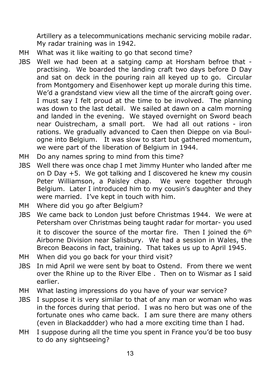Artillery as a telecommunications mechanic servicing mobile radar. My radar training was in 1942.

- MH What was it like waiting to go that second time?
- JBS Well we had been at a satging camp at Horsham befroe that practising. We boarded the landing craft two days before D Day and sat on deck in the pouring rain all keyed up to go. Circular from Montgomery and Eisenhower kept up morale during this time. We'd a grandstand view view all the time of the aircraft going over. I must say I felt proud at the time to be involved. The planning was down to the last detail. We sailed at dawn on a calm morning and landed in the evening. We stayed overnight on Sword beach near Ouistrecham, a small port. We had all out rations - iron rations. We gradually advanced to Caen then Dieppe on via Boulogne into Belgium. It was slow to start but gathered momentum, we were part of the liberation of Belgium in 1944.
- MH Do any names spring to mind from this time?
- JBS Well there was once chap I met Jimmy Hunter who landed after me on D Day +5. We got talking and I discovered he knew my cousin Peter Williamson, a Paisley chap. We were together through Belgium. Later I introduced him to my cousin's daughter and they were married. I've kept in touch with him.
- MH Where did you go after Belgium?
- JBS We came back to London just before Christmas 1944. We were at Petersham over Christmas being taught radar for mortar- you used it to discover the source of the mortar fire. Then I joined the  $6<sup>th</sup>$ Airborne Division near Salisbury. We had a session in Wales, the Brecon Beacons in fact, training. That takes us up to April 1945.
- MH When did you go back for your third visit?
- JBS In mid April we were sent by boat to Ostend. From there we went over the Rhine up to the River Elbe . Then on to Wismar as I said earlier.
- MH What lasting impressions do you have of your war service?
- JBS I suppose it is very similar to that of any man or woman who was in the forces during that period. I was no hero but was one of the fortunate ones who came back. I am sure there are many others (even in Blackaddder) who had a more exciting time than I had.
- MH I suppose during all the time you spent in France you'd be too busy to do any sightseeing?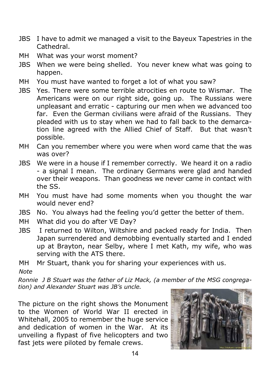- JBS I have to admit we managed a visit to the Bayeux Tapestries in the Cathedral.
- MH What was your worst moment?
- JBS When we were being shelled. You never knew what was going to happen.
- MH You must have wanted to forget a lot of what you saw?
- JBS Yes. There were some terrible atrocities en route to Wismar. The Americans were on our right side, going up. The Russians were unpleasant and erratic - capturing our men when we advanced too far. Even the German civilians were afraid of the Russians. They pleaded with us to stay when we had to fall back to the demarcation line agreed with the Allied Chief of Staff. But that wasn't possible.
- MH Can you remember where you were when word came that the was was over?
- JBS We were in a house if I remember correctly. We heard it on a radio - a signal I mean. The ordinary Germans were glad and handed over their weapons. Than goodness we never came in contact with the SS.
- MH You must have had some moments when you thought the war would never end?
- JBS No. You always had the feeling you'd getter the better of them.
- MH What did you do after VE Day?
- JBS I returned to Wilton, Wiltshire and packed ready for India. Then Japan surrendered and demobbing eventually started and I ended up at Brayton, near Selby, where I met Kath, my wife, who was serving with the ATS there.

MH Mr Stuart, thank you for sharing your experiences with us. *Note*

*Ronnie J B Stuart was the father of Liz Mack, (a member of the MSG congregation) and Alexander Stuart was JB's uncle.*

The picture on the right shows the Monument to the Women of World War II erected in Whitehall, 2005 to remember the huge service and dedication of women in the War. At its unveiling a flypast of five helicopters and two fast jets were piloted by female crews.

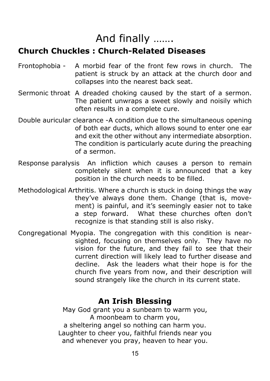# And finally …….

## **Church Chuckles : Church-Related Diseases**

- Frontophobia A morbid fear of the front few rows in church. The patient is struck by an attack at the church door and collapses into the nearest back seat.
- Sermonic throat A dreaded choking caused by the start of a sermon. The patient unwraps a sweet slowly and noisily which often results in a complete cure.
- Double auricular clearance -A condition due to the simultaneous opening of both ear ducts, which allows sound to enter one ear and exit the other without any intermediate absorption. The condition is particularly acute during the preaching of a sermon.
- Response paralysis An infliction which causes a person to remain completely silent when it is announced that a key position in the church needs to be filled.
- Methodological Arthritis. Where a church is stuck in doing things the way they've always done them. Change (that is, movement) is painful, and it's seemingly easier not to take a step forward. What these churches often don't recognize is that standing still is also risky.
- Congregational Myopia. The congregation with this condition is nearsighted, focusing on themselves only. They have no vision for the future, and they fail to see that their current direction will likely lead to further disease and decline. Ask the leaders what their hope is for the church five years from now, and their description will sound strangely like the church in its current state.

## **An Irish Blessing**

May God grant you a sunbeam to warm you, A moonbeam to charm you, a sheltering angel so nothing can harm you. Laughter to cheer you, faithful friends near you and whenever you pray, heaven to hear you.